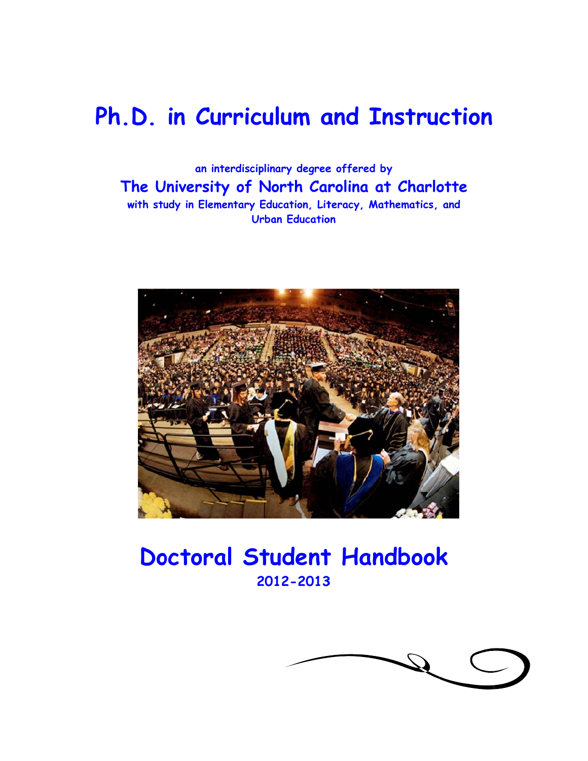## Ph.D. in Curriculum and Instruction

**The University of North Carolina at Charlotte** with study in Elementary Education, Literacy, Mathematics, and **an in terdisciplin nary degree e offered b by**  Urban Education



## Doctoral Student Handbook **20 12-2013 3**

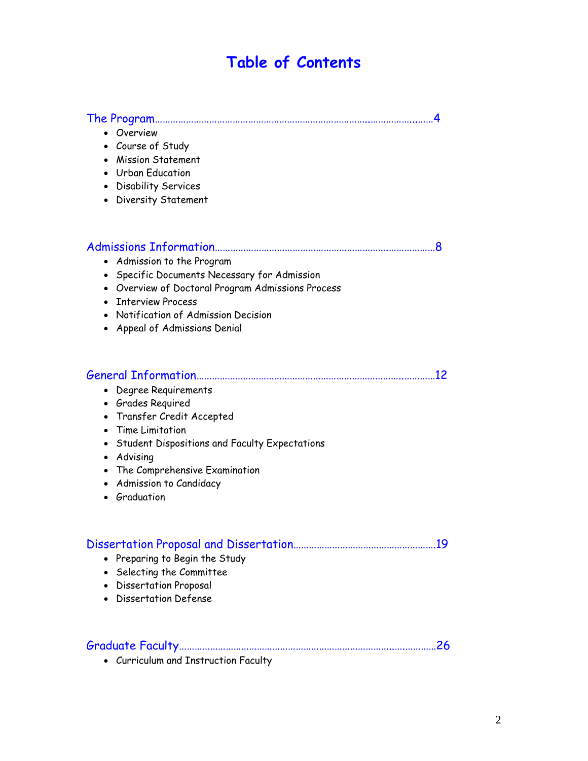### **Table of Contents**

#### The Program………………………………………………………………………..……………...……4

- Overview
- Course of Study
- Mission Statement
- Urban Education
- Disability Services
- Diversity Statement

|--|--|

- Admission to the Program
- Specific Documents Necessary for Admission
- Overview of Doctoral Program Admissions Process
- Interview Process
- Notification of Admission Decision
- Appeal of Admissions Denial

#### General Information……………………………………………………………………..…………12

- Degree Requirements
- Grades Required
- Transfer Credit Accepted
- Time Limitation
- Student Dispositions and Faculty Expectations
- Advising
- The Comprehensive Examination
- Admission to Candidacy
- Graduation

#### Dissertation Proposal and Dissertation……………………………………………….19

- Preparing to Begin the Study
- Selecting the Committee
- Dissertation Proposal
- Dissertation Defense

#### Graduate Faculty………………………………………………………………………..….…………26

• Curriculum and Instruction Faculty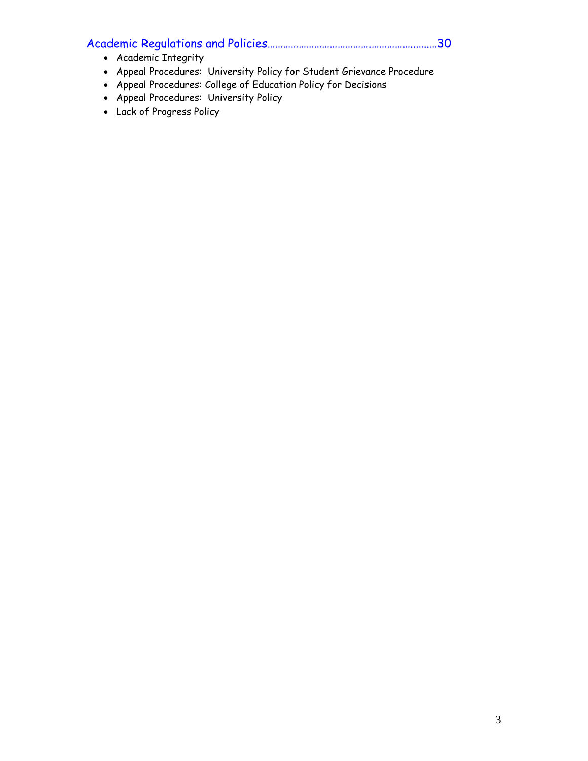## Academic Regulations and Policies………………………………….……………..…..…30

- Academic Integrity
- Appeal Procedures: University Policy for Student Grievance Procedure
- Appeal Procedures: College of Education Policy for Decisions
- Appeal Procedures: University Policy
- Lack of Progress Policy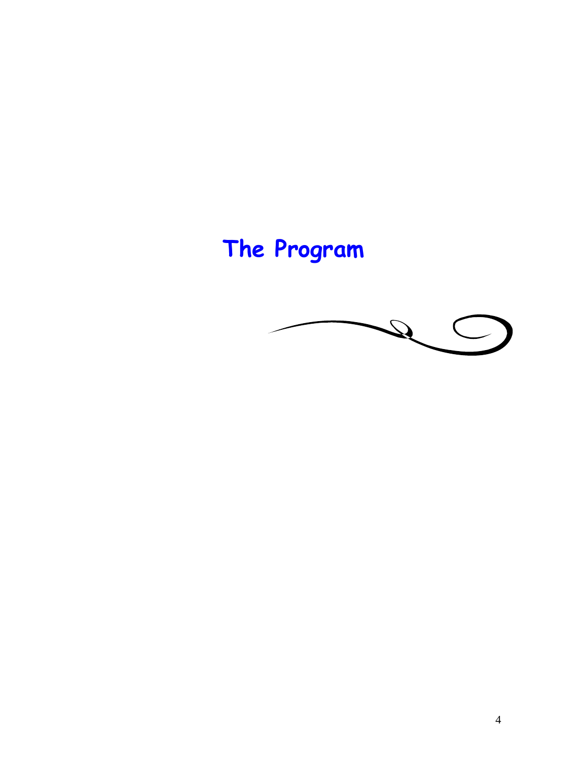# **The Program**

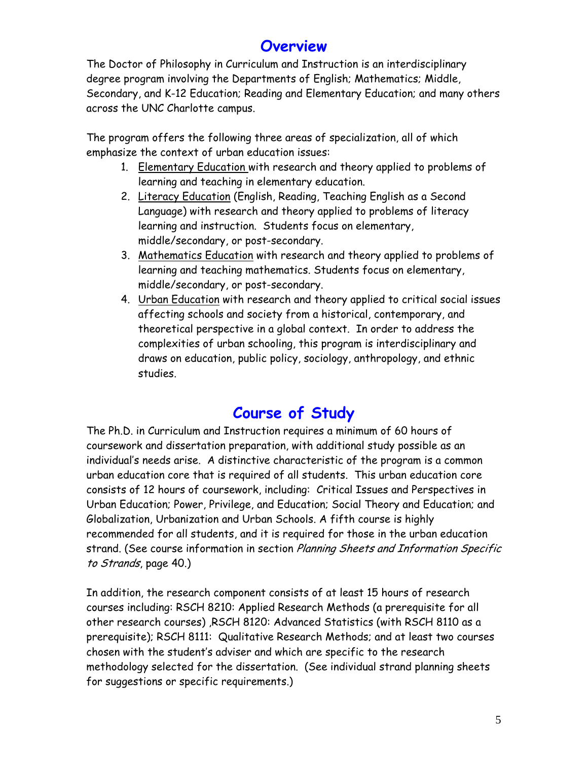### **Overview**

The Doctor of Philosophy in Curriculum and Instruction is an interdisciplinary degree program involving the Departments of English; Mathematics; Middle, Secondary, and K-12 Education; Reading and Elementary Education; and many others across the UNC Charlotte campus.

The program offers the following three areas of specialization, all of which emphasize the context of urban education issues:

- 1. Elementary Education with research and theory applied to problems of learning and teaching in elementary education.
- 2. Literacy Education (English, Reading, Teaching English as a Second Language) with research and theory applied to problems of literacy learning and instruction. Students focus on elementary, middle/secondary, or post-secondary.
- 3. Mathematics Education with research and theory applied to problems of learning and teaching mathematics. Students focus on elementary, middle/secondary, or post-secondary.
- 4. Urban Education with research and theory applied to critical social issues affecting schools and society from a historical, contemporary, and theoretical perspective in a global context. In order to address the complexities of urban schooling, this program is interdisciplinary and draws on education, public policy, sociology, anthropology, and ethnic studies.

## **Course of Study**

The Ph.D. in Curriculum and Instruction requires a minimum of 60 hours of coursework and dissertation preparation, with additional study possible as an individual's needs arise. A distinctive characteristic of the program is a common urban education core that is required of all students. This urban education core consists of 12 hours of coursework, including: Critical Issues and Perspectives in Urban Education; Power, Privilege, and Education; Social Theory and Education; and Globalization, Urbanization and Urban Schools. A fifth course is highly recommended for all students, and it is required for those in the urban education strand. (See course information in section Planning Sheets and Information Specific to Strands, page 40.)

In addition, the research component consists of at least 15 hours of research courses including: RSCH 8210: Applied Research Methods (a prerequisite for all other research courses) ,RSCH 8120: Advanced Statistics (with RSCH 8110 as a prerequisite); RSCH 8111: Qualitative Research Methods; and at least two courses chosen with the student's adviser and which are specific to the research methodology selected for the dissertation. (See individual strand planning sheets for suggestions or specific requirements.)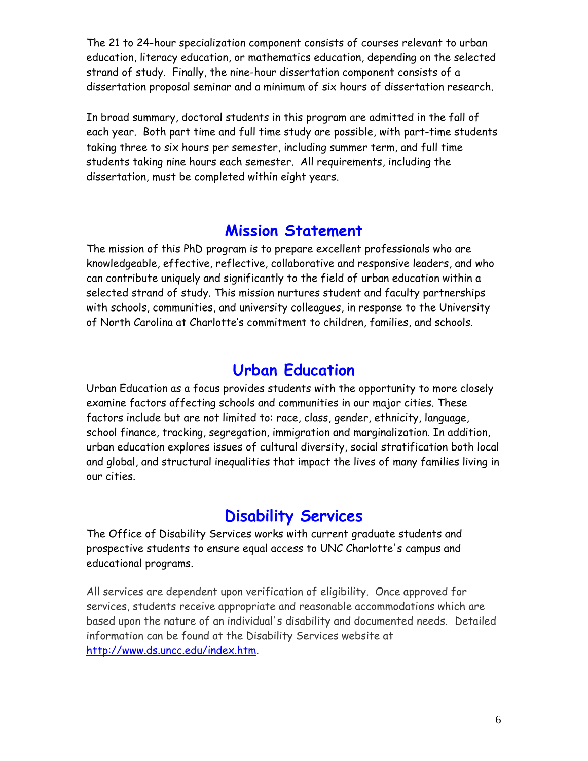The 21 to 24-hour specialization component consists of courses relevant to urban education, literacy education, or mathematics education, depending on the selected strand of study. Finally, the nine-hour dissertation component consists of a dissertation proposal seminar and a minimum of six hours of dissertation research.

In broad summary, doctoral students in this program are admitted in the fall of each year. Both part time and full time study are possible, with part-time students taking three to six hours per semester, including summer term, and full time students taking nine hours each semester. All requirements, including the dissertation, must be completed within eight years.

### **Mission Statement**

The mission of this PhD program is to prepare excellent professionals who are knowledgeable, effective, reflective, collaborative and responsive leaders, and who can contribute uniquely and significantly to the field of urban education within a selected strand of study. This mission nurtures student and faculty partnerships with schools, communities, and university colleagues, in response to the University of North Carolina at Charlotte's commitment to children, families, and schools.

### **Urban Education**

Urban Education as a focus provides students with the opportunity to more closely examine factors affecting schools and communities in our major cities. These factors include but are not limited to: race, class, gender, ethnicity, language, school finance, tracking, segregation, immigration and marginalization. In addition, urban education explores issues of cultural diversity, social stratification both local and global, and structural inequalities that impact the lives of many families living in our cities.

### **Disability Services**

The Office of Disability Services works with current graduate students and prospective students to ensure equal access to UNC Charlotte's campus and educational programs.

All services are dependent upon verification of eligibility. Once approved for services, students receive appropriate and reasonable accommodations which are based upon the nature of an individual's disability and documented needs. Detailed information can be found at the Disability Services website at http://www.ds.uncc.edu/index.htm.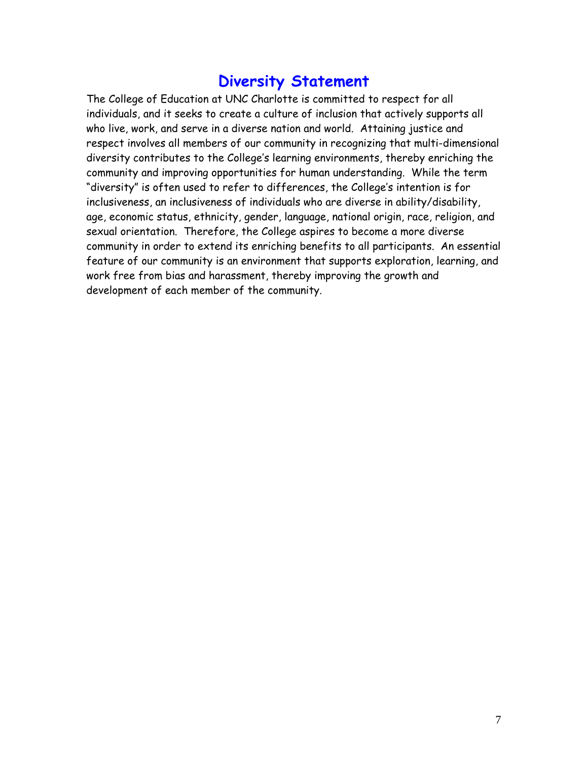### **Diversity Statement**

The College of Education at UNC Charlotte is committed to respect for all individuals, and it seeks to create a culture of inclusion that actively supports all who live, work, and serve in a diverse nation and world. Attaining justice and respect involves all members of our community in recognizing that multi-dimensional diversity contributes to the College's learning environments, thereby enriching the community and improving opportunities for human understanding. While the term "diversity" is often used to refer to differences, the College's intention is for inclusiveness, an inclusiveness of individuals who are diverse in ability/disability, age, economic status, ethnicity, gender, language, national origin, race, religion, and sexual orientation. Therefore, the College aspires to become a more diverse community in order to extend its enriching benefits to all participants. An essential feature of our community is an environment that supports exploration, learning, and work free from bias and harassment, thereby improving the growth and development of each member of the community.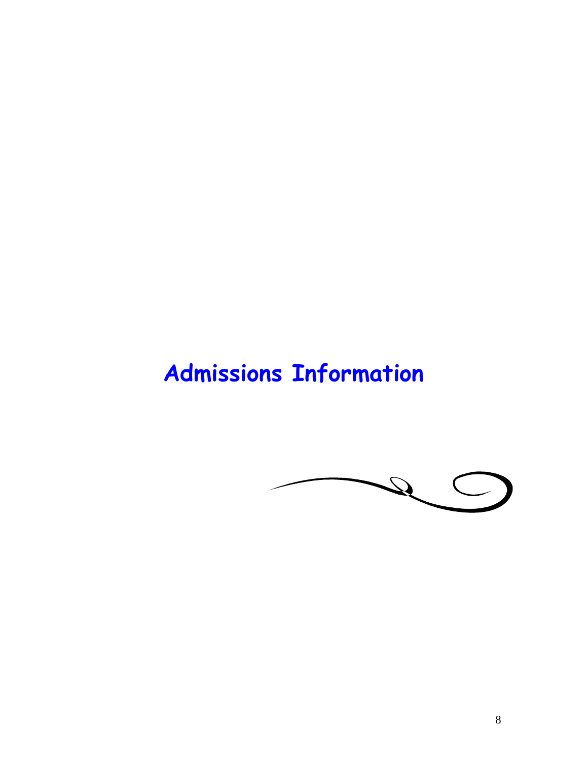## **Admissions Information**

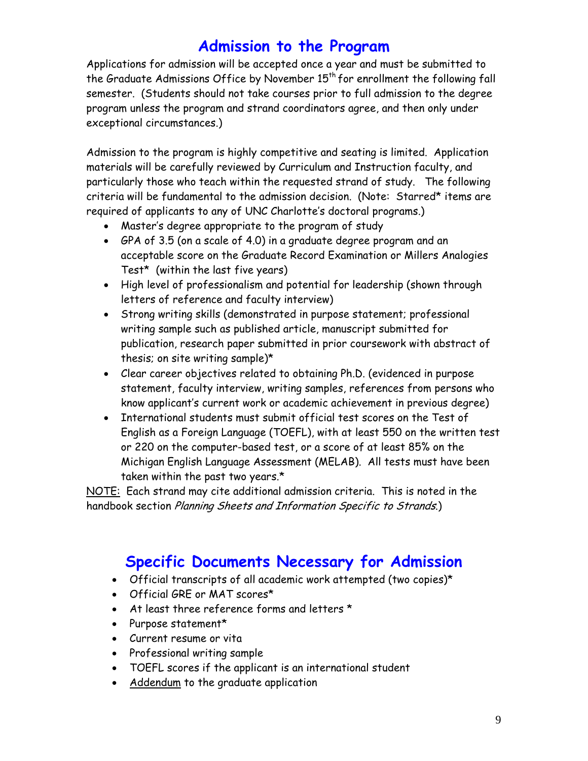### **Admission to the Program**

Applications for admission will be accepted once a year and must be submitted to the Graduate Admissions Office by November  $15<sup>th</sup>$  for enrollment the following fall semester. (Students should not take courses prior to full admission to the degree program unless the program and strand coordinators agree, and then only under exceptional circumstances.)

Admission to the program is highly competitive and seating is limited. Application materials will be carefully reviewed by Curriculum and Instruction faculty, and particularly those who teach within the requested strand of study. The following criteria will be fundamental to the admission decision. (Note: Starred\* items are required of applicants to any of UNC Charlotte's doctoral programs.)

- Master's degree appropriate to the program of study
- GPA of 3.5 (on a scale of 4.0) in a graduate degree program and an acceptable score on the Graduate Record Examination or Millers Analogies Test\* (within the last five years)
- High level of professionalism and potential for leadership (shown through letters of reference and faculty interview)
- Strong writing skills (demonstrated in purpose statement; professional writing sample such as published article, manuscript submitted for publication, research paper submitted in prior coursework with abstract of thesis; on site writing sample)\*
- Clear career objectives related to obtaining Ph.D. (evidenced in purpose statement, faculty interview, writing samples, references from persons who know applicant's current work or academic achievement in previous degree)
- International students must submit official test scores on the Test of English as a Foreign Language (TOEFL), with at least 550 on the written test or 220 on the computer-based test, or a score of at least 85% on the Michigan English Language Assessment (MELAB). All tests must have been taken within the past two years.\*

NOTE: Each strand may cite additional admission criteria. This is noted in the handbook section Planning Sheets and Information Specific to Strands.)

## **Specific Documents Necessary for Admission**

- Official transcripts of all academic work attempted (two copies)\*
- Official GRE or MAT scores\*
- At least three reference forms and letters \*
- Purpose statement\*
- Current resume or vita
- Professional writing sample
- TOEFL scores if the applicant is an international student
- Addendum to the graduate application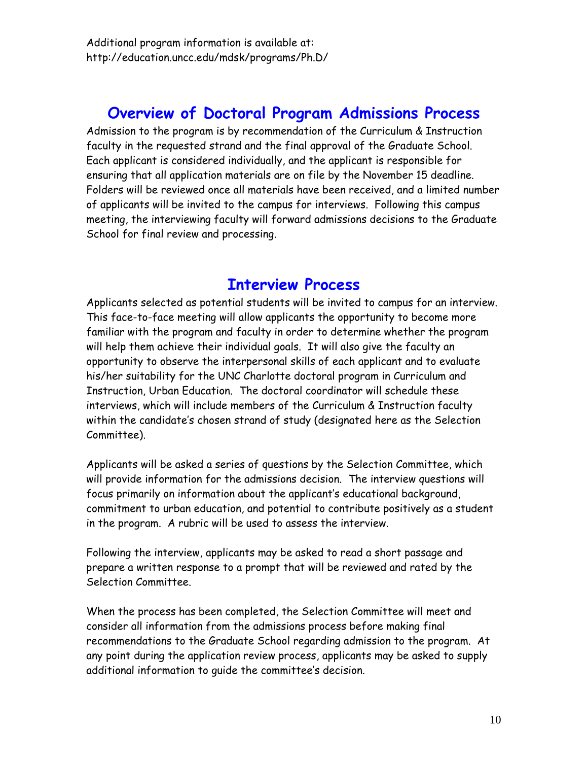### **Overview of Doctoral Program Admissions Process**

Admission to the program is by recommendation of the Curriculum & Instruction faculty in the requested strand and the final approval of the Graduate School. Each applicant is considered individually, and the applicant is responsible for ensuring that all application materials are on file by the November 15 deadline. Folders will be reviewed once all materials have been received, and a limited number of applicants will be invited to the campus for interviews. Following this campus meeting, the interviewing faculty will forward admissions decisions to the Graduate School for final review and processing.

### **Interview Process**

Applicants selected as potential students will be invited to campus for an interview. This face-to-face meeting will allow applicants the opportunity to become more familiar with the program and faculty in order to determine whether the program will help them achieve their individual goals. It will also give the faculty an opportunity to observe the interpersonal skills of each applicant and to evaluate his/her suitability for the UNC Charlotte doctoral program in Curriculum and Instruction, Urban Education. The doctoral coordinator will schedule these interviews, which will include members of the Curriculum & Instruction faculty within the candidate's chosen strand of study (designated here as the Selection Committee).

Applicants will be asked a series of questions by the Selection Committee, which will provide information for the admissions decision. The interview questions will focus primarily on information about the applicant's educational background, commitment to urban education, and potential to contribute positively as a student in the program. A rubric will be used to assess the interview.

Following the interview, applicants may be asked to read a short passage and prepare a written response to a prompt that will be reviewed and rated by the Selection Committee.

When the process has been completed, the Selection Committee will meet and consider all information from the admissions process before making final recommendations to the Graduate School regarding admission to the program. At any point during the application review process, applicants may be asked to supply additional information to guide the committee's decision.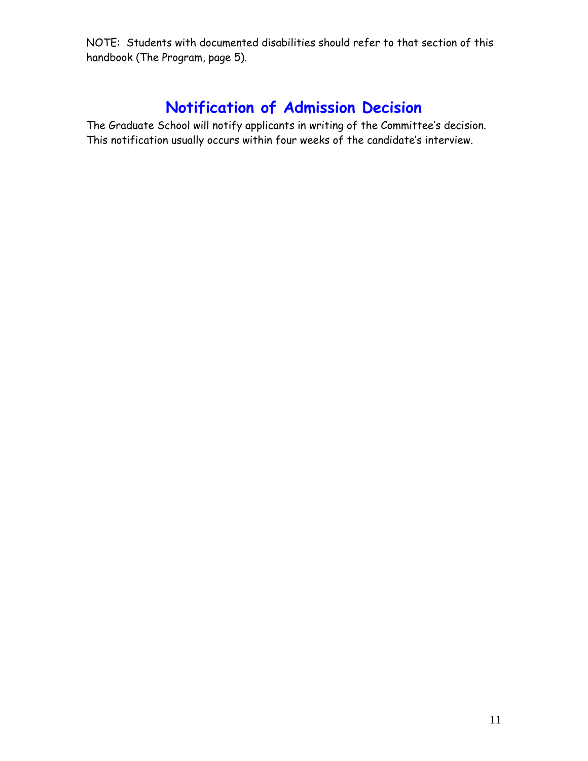NOTE: Students with documented disabilities should refer to that section of this handbook (The Program, page 5).

## **Notification of Admission Decision**

The Graduate School will notify applicants in writing of the Committee's decision. This notification usually occurs within four weeks of the candidate's interview.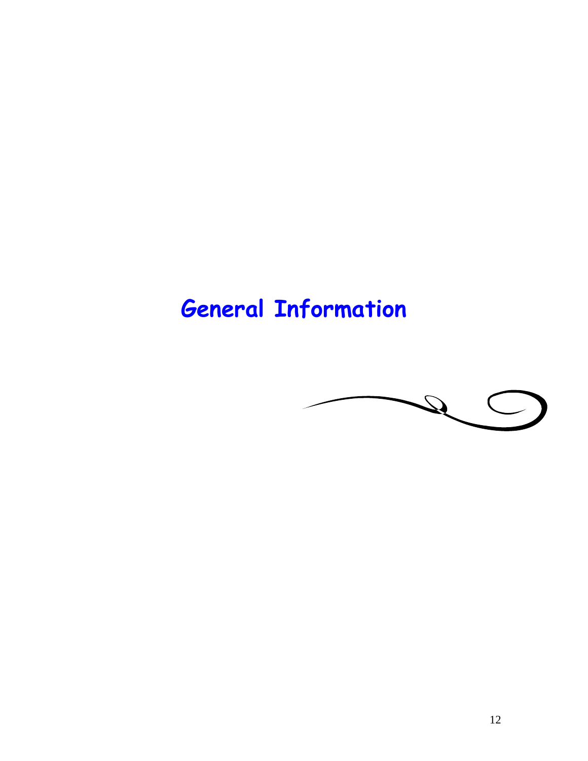# **General Information**

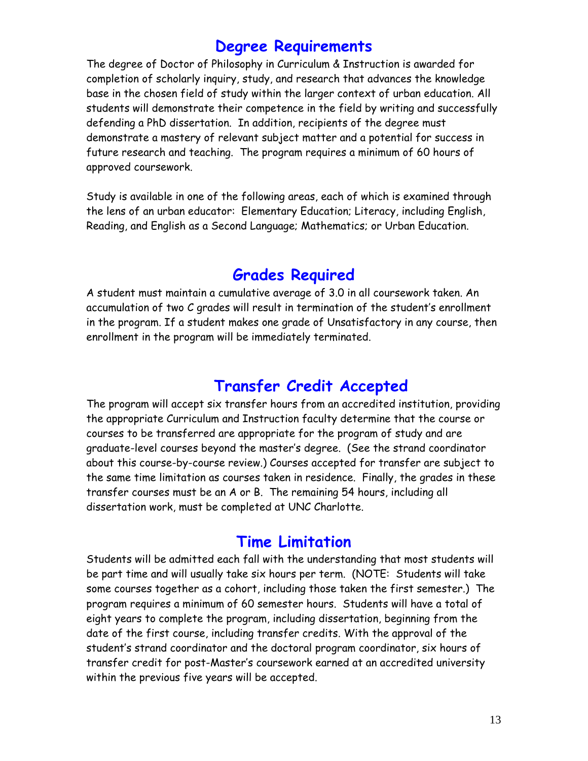### **Degree Requirements**

The degree of Doctor of Philosophy in Curriculum & Instruction is awarded for completion of scholarly inquiry, study, and research that advances the knowledge base in the chosen field of study within the larger context of urban education. All students will demonstrate their competence in the field by writing and successfully defending a PhD dissertation. In addition, recipients of the degree must demonstrate a mastery of relevant subject matter and a potential for success in future research and teaching. The program requires a minimum of 60 hours of approved coursework.

Study is available in one of the following areas, each of which is examined through the lens of an urban educator: Elementary Education; Literacy, including English, Reading, and English as a Second Language; Mathematics; or Urban Education.

### **Grades Required**

A student must maintain a cumulative average of 3.0 in all coursework taken. An accumulation of two C grades will result in termination of the student's enrollment in the program. If a student makes one grade of Unsatisfactory in any course, then enrollment in the program will be immediately terminated.

### **Transfer Credit Accepted**

The program will accept six transfer hours from an accredited institution, providing the appropriate Curriculum and Instruction faculty determine that the course or courses to be transferred are appropriate for the program of study and are graduate-level courses beyond the master's degree. (See the strand coordinator about this course-by-course review.) Courses accepted for transfer are subject to the same time limitation as courses taken in residence. Finally, the grades in these transfer courses must be an A or B. The remaining 54 hours, including all dissertation work, must be completed at UNC Charlotte.

### **Time Limitation**

Students will be admitted each fall with the understanding that most students will be part time and will usually take six hours per term. (NOTE: Students will take some courses together as a cohort, including those taken the first semester.) The program requires a minimum of 60 semester hours. Students will have a total of eight years to complete the program, including dissertation, beginning from the date of the first course, including transfer credits. With the approval of the student's strand coordinator and the doctoral program coordinator, six hours of transfer credit for post-Master's coursework earned at an accredited university within the previous five years will be accepted.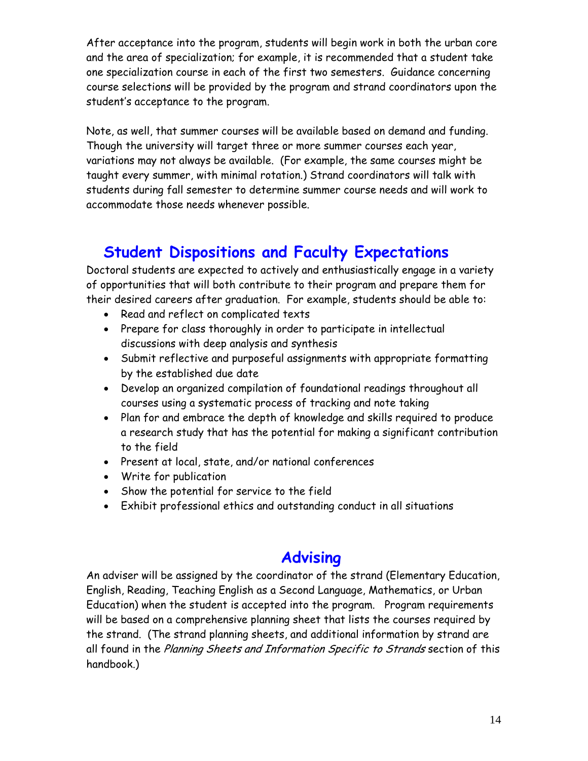After acceptance into the program, students will begin work in both the urban core and the area of specialization; for example, it is recommended that a student take one specialization course in each of the first two semesters. Guidance concerning course selections will be provided by the program and strand coordinators upon the student's acceptance to the program.

Note, as well, that summer courses will be available based on demand and funding. Though the university will target three or more summer courses each year, variations may not always be available. (For example, the same courses might be taught every summer, with minimal rotation.) Strand coordinators will talk with students during fall semester to determine summer course needs and will work to accommodate those needs whenever possible.

### **Student Dispositions and Faculty Expectations**

Doctoral students are expected to actively and enthusiastically engage in a variety of opportunities that will both contribute to their program and prepare them for their desired careers after graduation. For example, students should be able to:

- Read and reflect on complicated texts
- Prepare for class thoroughly in order to participate in intellectual discussions with deep analysis and synthesis
- Submit reflective and purposeful assignments with appropriate formatting by the established due date
- Develop an organized compilation of foundational readings throughout all courses using a systematic process of tracking and note taking
- Plan for and embrace the depth of knowledge and skills required to produce a research study that has the potential for making a significant contribution to the field
- Present at local, state, and/or national conferences
- Write for publication
- Show the potential for service to the field
- Exhibit professional ethics and outstanding conduct in all situations

### **Advising**

An adviser will be assigned by the coordinator of the strand (Elementary Education, English, Reading, Teaching English as a Second Language, Mathematics, or Urban Education) when the student is accepted into the program. Program requirements will be based on a comprehensive planning sheet that lists the courses required by the strand. (The strand planning sheets, and additional information by strand are all found in the Planning Sheets and Information Specific to Strands section of this handbook.)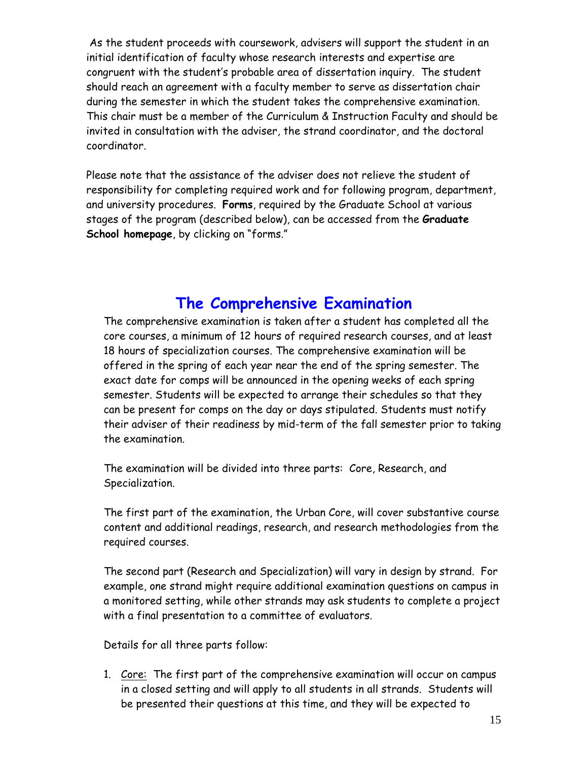As the student proceeds with coursework, advisers will support the student in an initial identification of faculty whose research interests and expertise are congruent with the student's probable area of dissertation inquiry. The student should reach an agreement with a faculty member to serve as dissertation chair during the semester in which the student takes the comprehensive examination. This chair must be a member of the Curriculum & Instruction Faculty and should be invited in consultation with the adviser, the strand coordinator, and the doctoral coordinator.

Please note that the assistance of the adviser does not relieve the student of responsibility for completing required work and for following program, department, and university procedures. **Forms**, required by the Graduate School at various stages of the program (described below), can be accessed from the **Graduate School homepage**, by clicking on "forms."

### **The Comprehensive Examination**

The comprehensive examination is taken after a student has completed all the core courses, a minimum of 12 hours of required research courses, and at least 18 hours of specialization courses. The comprehensive examination will be offered in the spring of each year near the end of the spring semester. The exact date for comps will be announced in the opening weeks of each spring semester. Students will be expected to arrange their schedules so that they can be present for comps on the day or days stipulated. Students must notify their adviser of their readiness by mid-term of the fall semester prior to taking the examination.

The examination will be divided into three parts: Core, Research, and Specialization.

The first part of the examination, the Urban Core, will cover substantive course content and additional readings, research, and research methodologies from the required courses.

The second part (Research and Specialization) will vary in design by strand. For example, one strand might require additional examination questions on campus in a monitored setting, while other strands may ask students to complete a project with a final presentation to a committee of evaluators.

Details for all three parts follow:

1. Core: The first part of the comprehensive examination will occur on campus in a closed setting and will apply to all students in all strands. Students will be presented their questions at this time, and they will be expected to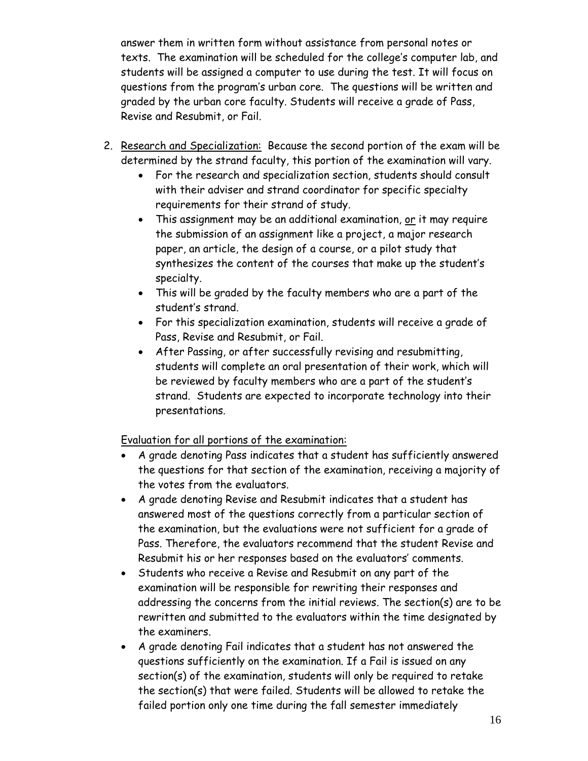answer them in written form without assistance from personal notes or texts. The examination will be scheduled for the college's computer lab, and students will be assigned a computer to use during the test. It will focus on questions from the program's urban core. The questions will be written and graded by the urban core faculty. Students will receive a grade of Pass, Revise and Resubmit, or Fail.

- 2. Research and Specialization: Because the second portion of the exam will be determined by the strand faculty, this portion of the examination will vary.
	- For the research and specialization section, students should consult with their adviser and strand coordinator for specific specialty requirements for their strand of study.
	- This assignment may be an additional examination, or it may require the submission of an assignment like a project, a major research paper, an article, the design of a course, or a pilot study that synthesizes the content of the courses that make up the student's specialty.
	- This will be graded by the faculty members who are a part of the student's strand.
	- For this specialization examination, students will receive a grade of Pass, Revise and Resubmit, or Fail.
	- After Passing, or after successfully revising and resubmitting, students will complete an oral presentation of their work, which will be reviewed by faculty members who are a part of the student's strand. Students are expected to incorporate technology into their presentations.

Evaluation for all portions of the examination:

- A grade denoting Pass indicates that a student has sufficiently answered the questions for that section of the examination, receiving a majority of the votes from the evaluators.
- A grade denoting Revise and Resubmit indicates that a student has answered most of the questions correctly from a particular section of the examination, but the evaluations were not sufficient for a grade of Pass. Therefore, the evaluators recommend that the student Revise and Resubmit his or her responses based on the evaluators' comments.
- Students who receive a Revise and Resubmit on any part of the examination will be responsible for rewriting their responses and addressing the concerns from the initial reviews. The section(s) are to be rewritten and submitted to the evaluators within the time designated by the examiners.
- A grade denoting Fail indicates that a student has not answered the questions sufficiently on the examination. If a Fail is issued on any section(s) of the examination, students will only be required to retake the section(s) that were failed. Students will be allowed to retake the failed portion only one time during the fall semester immediately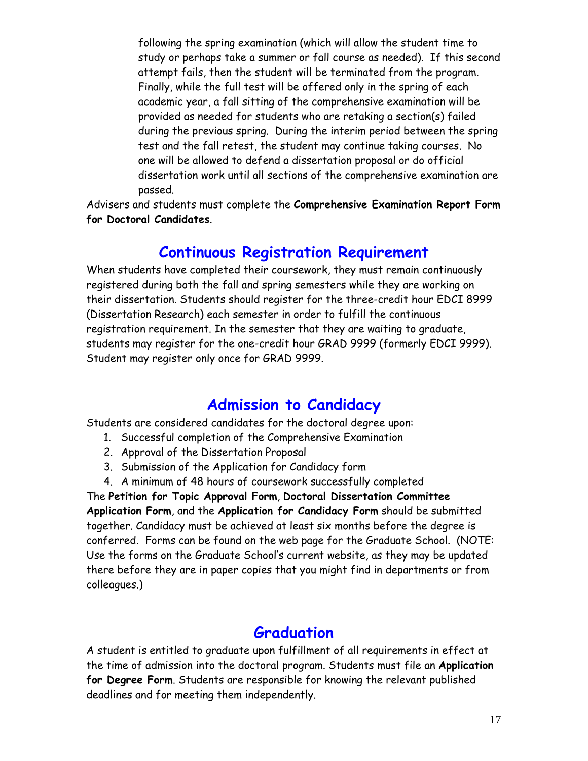following the spring examination (which will allow the student time to study or perhaps take a summer or fall course as needed). If this second attempt fails, then the student will be terminated from the program. Finally, while the full test will be offered only in the spring of each academic year, a fall sitting of the comprehensive examination will be provided as needed for students who are retaking a section(s) failed during the previous spring. During the interim period between the spring test and the fall retest, the student may continue taking courses. No one will be allowed to defend a dissertation proposal or do official dissertation work until all sections of the comprehensive examination are passed.

Advisers and students must complete the **Comprehensive Examination Report Form for Doctoral Candidates**.

#### **Continuous Registration Requirement**

When students have completed their coursework, they must remain continuously registered during both the fall and spring semesters while they are working on their dissertation. Students should register for the three-credit hour EDCI 8999 (Dissertation Research) each semester in order to fulfill the continuous registration requirement. In the semester that they are waiting to graduate, students may register for the one-credit hour GRAD 9999 (formerly EDCI 9999). Student may register only once for GRAD 9999.

### **Admission to Candidacy**

Students are considered candidates for the doctoral degree upon:

- 1. Successful completion of the Comprehensive Examination
- 2. Approval of the Dissertation Proposal
- 3. Submission of the Application for Candidacy form
- 4. A minimum of 48 hours of coursework successfully completed

The **Petition for Topic Approval Form**, **Doctoral Dissertation Committee Application Form**, and the **Application for Candidacy Form** should be submitted together. Candidacy must be achieved at least six months before the degree is conferred. Forms can be found on the web page for the Graduate School. (NOTE: Use the forms on the Graduate School's current website, as they may be updated there before they are in paper copies that you might find in departments or from colleagues.)

### **Graduation**

A student is entitled to graduate upon fulfillment of all requirements in effect at the time of admission into the doctoral program. Students must file an **Application for Degree Form**. Students are responsible for knowing the relevant published deadlines and for meeting them independently.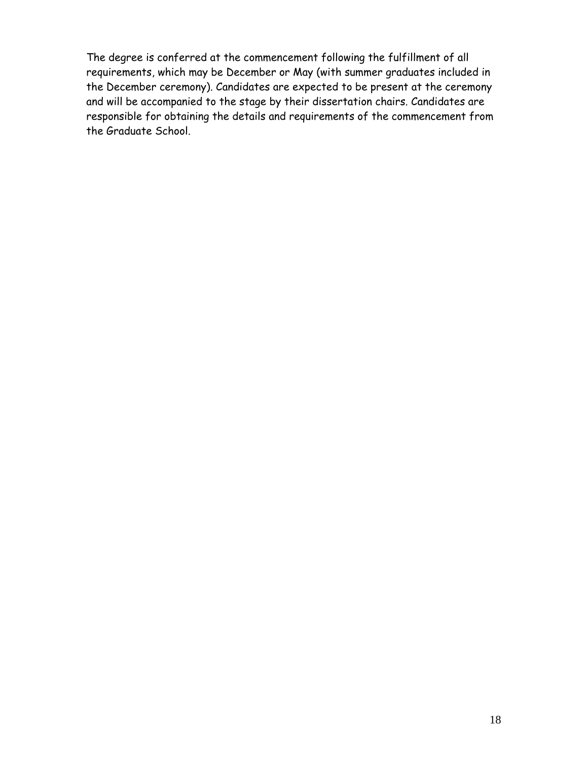The degree is conferred at the commencement following the fulfillment of all requirements, which may be December or May (with summer graduates included in the December ceremony). Candidates are expected to be present at the ceremony and will be accompanied to the stage by their dissertation chairs. Candidates are responsible for obtaining the details and requirements of the commencement from the Graduate School.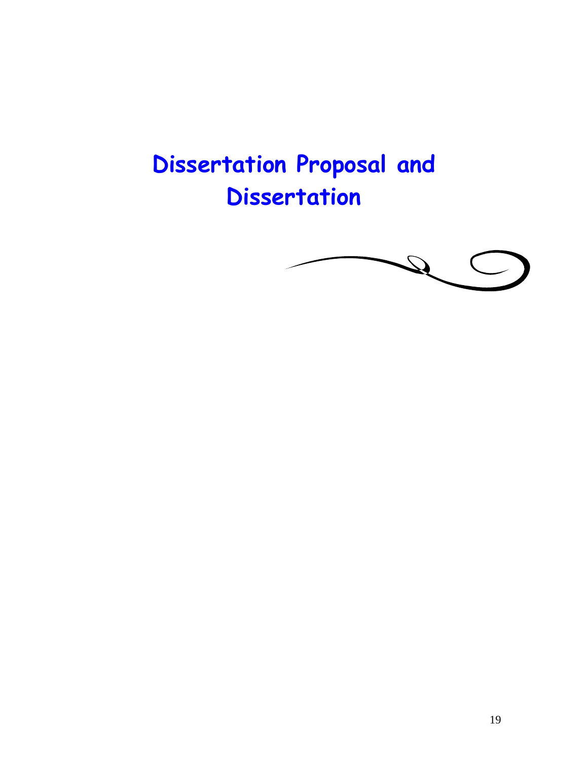# **Dissertation Proposal and Dissertation**

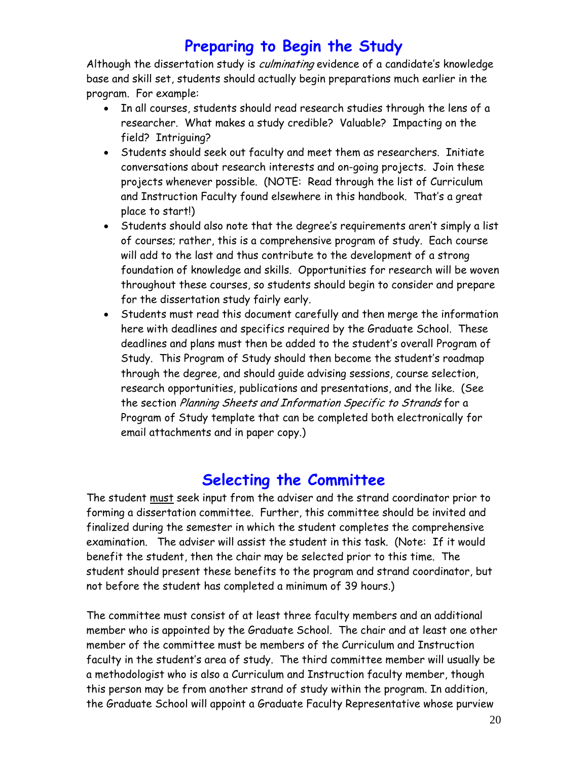### **Preparing to Begin the Study**

Although the dissertation study is *culminating* evidence of a candidate's knowledge base and skill set, students should actually begin preparations much earlier in the program. For example:

- In all courses, students should read research studies through the lens of a researcher. What makes a study credible? Valuable? Impacting on the field? Intriguing?
- Students should seek out faculty and meet them as researchers. Initiate conversations about research interests and on-going projects. Join these projects whenever possible. (NOTE: Read through the list of Curriculum and Instruction Faculty found elsewhere in this handbook. That's a great place to start!)
- Students should also note that the degree's requirements aren't simply a list of courses; rather, this is a comprehensive program of study. Each course will add to the last and thus contribute to the development of a strong foundation of knowledge and skills. Opportunities for research will be woven throughout these courses, so students should begin to consider and prepare for the dissertation study fairly early.
- Students must read this document carefully and then merge the information here with deadlines and specifics required by the Graduate School. These deadlines and plans must then be added to the student's overall Program of Study. This Program of Study should then become the student's roadmap through the degree, and should guide advising sessions, course selection, research opportunities, publications and presentations, and the like. (See the section Planning Sheets and Information Specific to Strands for a Program of Study template that can be completed both electronically for email attachments and in paper copy.)

### **Selecting the Committee**

The student must seek input from the adviser and the strand coordinator prior to forming a dissertation committee. Further, this committee should be invited and finalized during the semester in which the student completes the comprehensive examination. The adviser will assist the student in this task. (Note: If it would benefit the student, then the chair may be selected prior to this time. The student should present these benefits to the program and strand coordinator, but not before the student has completed a minimum of 39 hours.)

The committee must consist of at least three faculty members and an additional member who is appointed by the Graduate School. The chair and at least one other member of the committee must be members of the Curriculum and Instruction faculty in the student's area of study. The third committee member will usually be a methodologist who is also a Curriculum and Instruction faculty member, though this person may be from another strand of study within the program. In addition, the Graduate School will appoint a Graduate Faculty Representative whose purview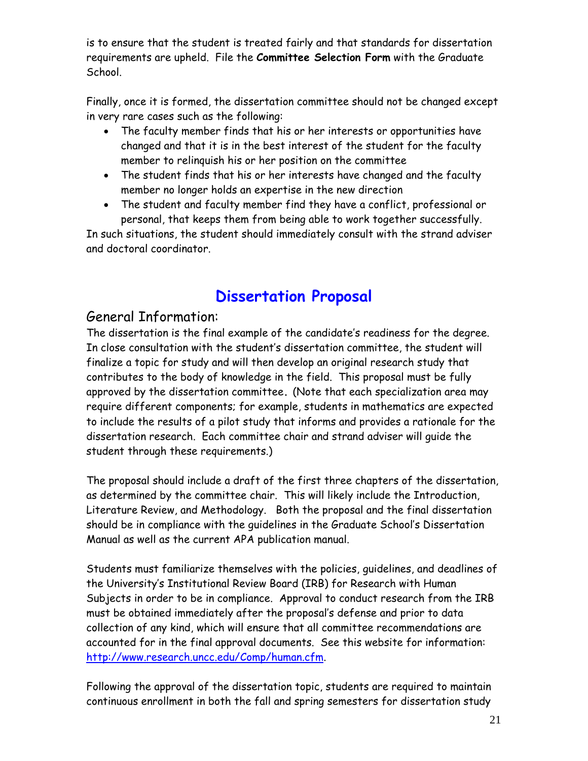is to ensure that the student is treated fairly and that standards for dissertation requirements are upheld. File the **Committee Selection Form** with the Graduate School.

Finally, once it is formed, the dissertation committee should not be changed except in very rare cases such as the following:

- The faculty member finds that his or her interests or opportunities have changed and that it is in the best interest of the student for the faculty member to relinquish his or her position on the committee
- The student finds that his or her interests have changed and the faculty member no longer holds an expertise in the new direction
- The student and faculty member find they have a conflict, professional or personal, that keeps them from being able to work together successfully.

In such situations, the student should immediately consult with the strand adviser and doctoral coordinator.

## **Dissertation Proposal**

### General Information:

The dissertation is the final example of the candidate's readiness for the degree. In close consultation with the student's dissertation committee, the student will finalize a topic for study and will then develop an original research study that contributes to the body of knowledge in the field. This proposal must be fully approved by the dissertation committee**.** (Note that each specialization area may require different components; for example, students in mathematics are expected to include the results of a pilot study that informs and provides a rationale for the dissertation research. Each committee chair and strand adviser will guide the student through these requirements.)

The proposal should include a draft of the first three chapters of the dissertation, as determined by the committee chair. This will likely include the Introduction, Literature Review, and Methodology. Both the proposal and the final dissertation should be in compliance with the guidelines in the Graduate School's Dissertation Manual as well as the current APA publication manual.

Students must familiarize themselves with the policies, guidelines, and deadlines of the University's Institutional Review Board (IRB) for Research with Human Subjects in order to be in compliance. Approval to conduct research from the IRB must be obtained immediately after the proposal's defense and prior to data collection of any kind, which will ensure that all committee recommendations are accounted for in the final approval documents. See this website for information: http://www.research.uncc.edu/Comp/human.cfm.

Following the approval of the dissertation topic, students are required to maintain continuous enrollment in both the fall and spring semesters for dissertation study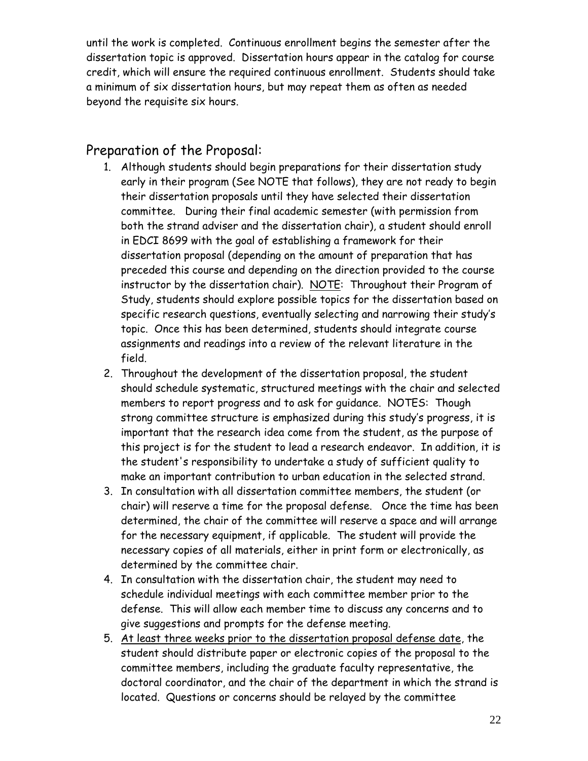until the work is completed. Continuous enrollment begins the semester after the dissertation topic is approved. Dissertation hours appear in the catalog for course credit, which will ensure the required continuous enrollment. Students should take a minimum of six dissertation hours, but may repeat them as often as needed beyond the requisite six hours.

### Preparation of the Proposal:

- 1. Although students should begin preparations for their dissertation study early in their program (See NOTE that follows), they are not ready to begin their dissertation proposals until they have selected their dissertation committee. During their final academic semester (with permission from both the strand adviser and the dissertation chair), a student should enroll in EDCI 8699 with the goal of establishing a framework for their dissertation proposal (depending on the amount of preparation that has preceded this course and depending on the direction provided to the course instructor by the dissertation chair). NOTE: Throughout their Program of Study, students should explore possible topics for the dissertation based on specific research questions, eventually selecting and narrowing their study's topic. Once this has been determined, students should integrate course assignments and readings into a review of the relevant literature in the field.
- 2. Throughout the development of the dissertation proposal, the student should schedule systematic, structured meetings with the chair and selected members to report progress and to ask for guidance. NOTES: Though strong committee structure is emphasized during this study's progress, it is important that the research idea come from the student, as the purpose of this project is for the student to lead a research endeavor. In addition, it is the student's responsibility to undertake a study of sufficient quality to make an important contribution to urban education in the selected strand.
- 3. In consultation with all dissertation committee members, the student (or chair) will reserve a time for the proposal defense. Once the time has been determined, the chair of the committee will reserve a space and will arrange for the necessary equipment, if applicable. The student will provide the necessary copies of all materials, either in print form or electronically, as determined by the committee chair.
- 4. In consultation with the dissertation chair, the student may need to schedule individual meetings with each committee member prior to the defense. This will allow each member time to discuss any concerns and to give suggestions and prompts for the defense meeting.
- 5. At least three weeks prior to the dissertation proposal defense date, the student should distribute paper or electronic copies of the proposal to the committee members, including the graduate faculty representative, the doctoral coordinator, and the chair of the department in which the strand is located. Questions or concerns should be relayed by the committee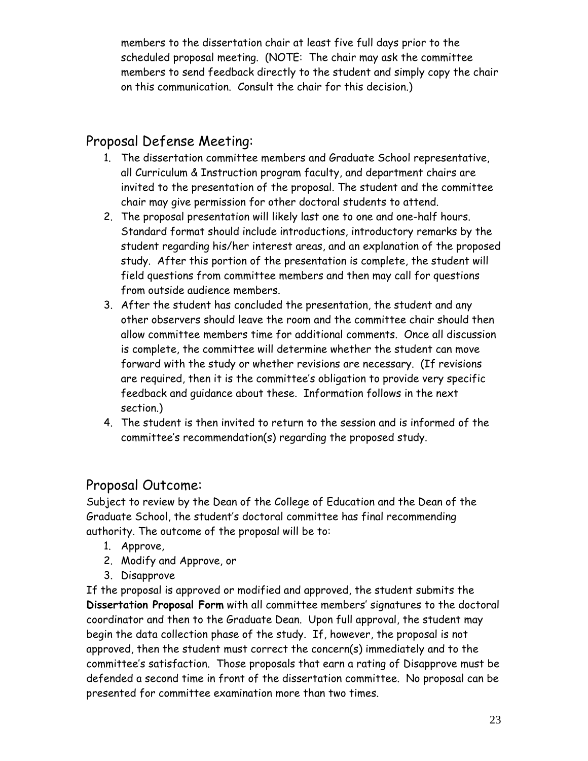members to the dissertation chair at least five full days prior to the scheduled proposal meeting. (NOTE: The chair may ask the committee members to send feedback directly to the student and simply copy the chair on this communication. Consult the chair for this decision.)

### Proposal Defense Meeting:

- 1. The dissertation committee members and Graduate School representative, all Curriculum & Instruction program faculty, and department chairs are invited to the presentation of the proposal. The student and the committee chair may give permission for other doctoral students to attend.
- 2. The proposal presentation will likely last one to one and one-half hours. Standard format should include introductions, introductory remarks by the student regarding his/her interest areas, and an explanation of the proposed study. After this portion of the presentation is complete, the student will field questions from committee members and then may call for questions from outside audience members.
- 3. After the student has concluded the presentation, the student and any other observers should leave the room and the committee chair should then allow committee members time for additional comments. Once all discussion is complete, the committee will determine whether the student can move forward with the study or whether revisions are necessary. (If revisions are required, then it is the committee's obligation to provide very specific feedback and guidance about these. Information follows in the next section.)
- 4. The student is then invited to return to the session and is informed of the committee's recommendation(s) regarding the proposed study.

### Proposal Outcome:

Subject to review by the Dean of the College of Education and the Dean of the Graduate School, the student's doctoral committee has final recommending authority. The outcome of the proposal will be to:

- 1. Approve,
- 2. Modify and Approve, or
- 3. Disapprove

If the proposal is approved or modified and approved, the student submits the **Dissertation Proposal Form** with all committee members' signatures to the doctoral coordinator and then to the Graduate Dean. Upon full approval, the student may begin the data collection phase of the study. If, however, the proposal is not approved, then the student must correct the concern(s) immediately and to the committee's satisfaction. Those proposals that earn a rating of Disapprove must be defended a second time in front of the dissertation committee. No proposal can be presented for committee examination more than two times.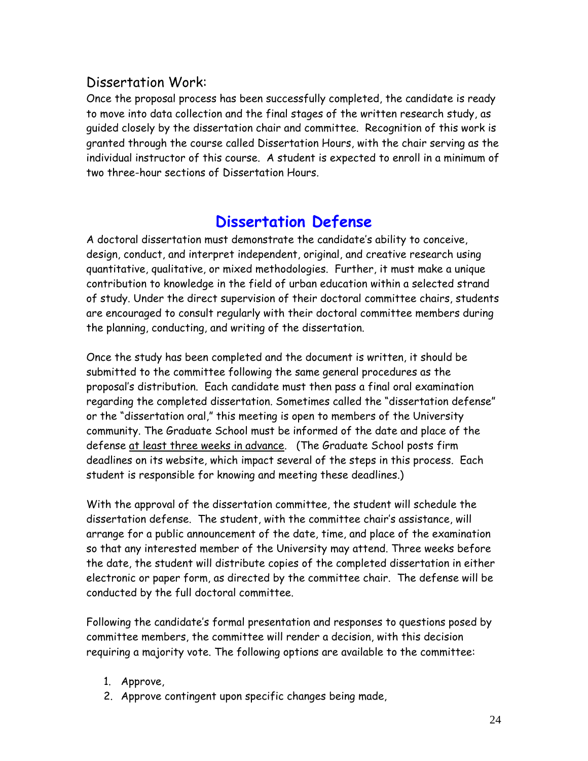### Dissertation Work:

Once the proposal process has been successfully completed, the candidate is ready to move into data collection and the final stages of the written research study, as guided closely by the dissertation chair and committee. Recognition of this work is granted through the course called Dissertation Hours, with the chair serving as the individual instructor of this course. A student is expected to enroll in a minimum of two three-hour sections of Dissertation Hours.

### **Dissertation Defense**

A doctoral dissertation must demonstrate the candidate's ability to conceive, design, conduct, and interpret independent, original, and creative research using quantitative, qualitative, or mixed methodologies. Further, it must make a unique contribution to knowledge in the field of urban education within a selected strand of study. Under the direct supervision of their doctoral committee chairs, students are encouraged to consult regularly with their doctoral committee members during the planning, conducting, and writing of the dissertation.

Once the study has been completed and the document is written, it should be submitted to the committee following the same general procedures as the proposal's distribution. Each candidate must then pass a final oral examination regarding the completed dissertation. Sometimes called the "dissertation defense" or the "dissertation oral," this meeting is open to members of the University community. The Graduate School must be informed of the date and place of the defense at least three weeks in advance. (The Graduate School posts firm deadlines on its website, which impact several of the steps in this process. Each student is responsible for knowing and meeting these deadlines.)

With the approval of the dissertation committee, the student will schedule the dissertation defense. The student, with the committee chair's assistance, will arrange for a public announcement of the date, time, and place of the examination so that any interested member of the University may attend. Three weeks before the date, the student will distribute copies of the completed dissertation in either electronic or paper form, as directed by the committee chair. The defense will be conducted by the full doctoral committee.

Following the candidate's formal presentation and responses to questions posed by committee members, the committee will render a decision, with this decision requiring a majority vote. The following options are available to the committee:

- 1. Approve,
- 2. Approve contingent upon specific changes being made,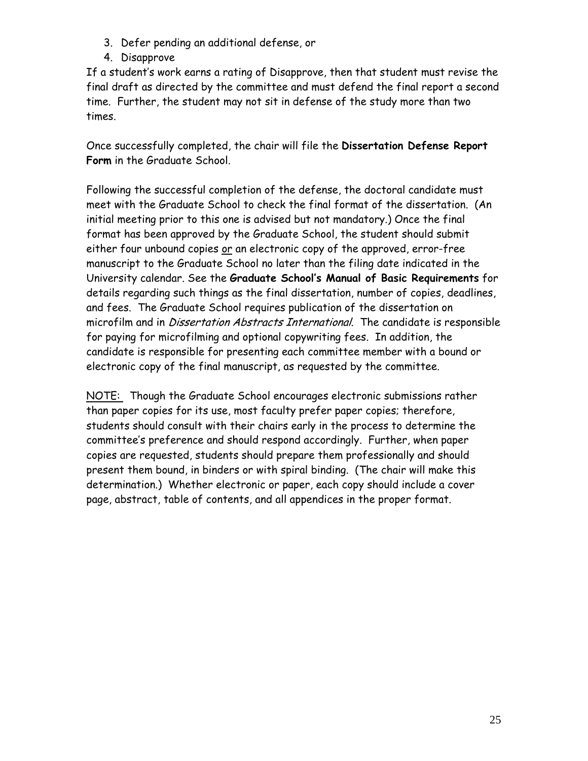- 3. Defer pending an additional defense, or
- 4. Disapprove

If a student's work earns a rating of Disapprove, then that student must revise the final draft as directed by the committee and must defend the final report a second time. Further, the student may not sit in defense of the study more than two times.

Once successfully completed, the chair will file the **Dissertation Defense Report Form** in the Graduate School.

Following the successful completion of the defense, the doctoral candidate must meet with the Graduate School to check the final format of the dissertation. (An initial meeting prior to this one is advised but not mandatory.) Once the final format has been approved by the Graduate School, the student should submit either four unbound copies or an electronic copy of the approved, error-free manuscript to the Graduate School no later than the filing date indicated in the University calendar. See the **Graduate School's Manual of Basic Requirements** for details regarding such things as the final dissertation, number of copies, deadlines, and fees. The Graduate School requires publication of the dissertation on microfilm and in *Dissertation Abstracts International*. The candidate is responsible for paying for microfilming and optional copywriting fees. In addition, the candidate is responsible for presenting each committee member with a bound or electronic copy of the final manuscript, as requested by the committee.

NOTE: Though the Graduate School encourages electronic submissions rather than paper copies for its use, most faculty prefer paper copies; therefore, students should consult with their chairs early in the process to determine the committee's preference and should respond accordingly. Further, when paper copies are requested, students should prepare them professionally and should present them bound, in binders or with spiral binding. (The chair will make this determination.) Whether electronic or paper, each copy should include a cover page, abstract, table of contents, and all appendices in the proper format.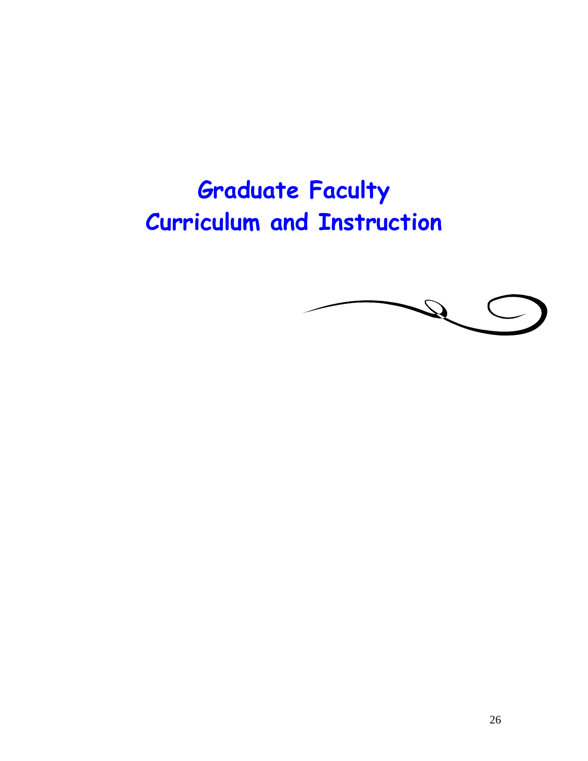# **Graduate Faculty Curriculum and Instruction**

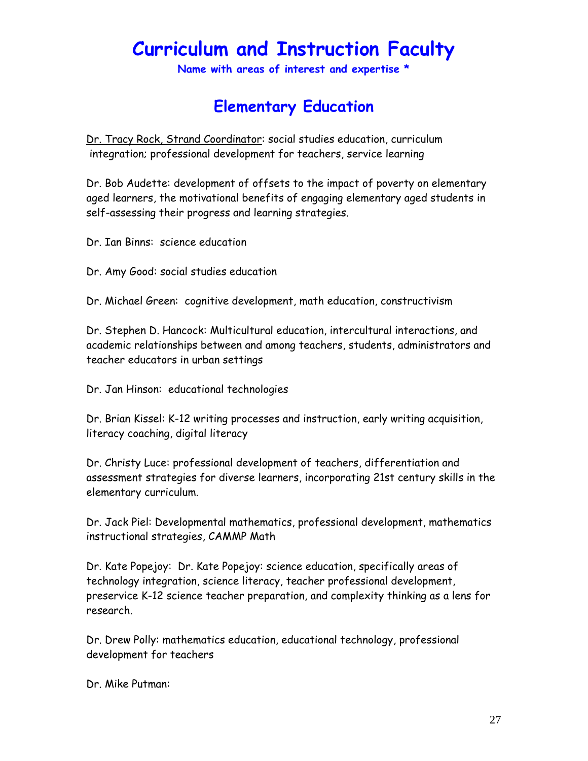## **Curriculum and Instruction Faculty**

**Name with areas of interest and expertise \*** 

### **Elementary Education**

Dr. Tracy Rock, Strand Coordinator: social studies education, curriculum integration; professional development for teachers, service learning

Dr. Bob Audette: development of offsets to the impact of poverty on elementary aged learners, the motivational benefits of engaging elementary aged students in self-assessing their progress and learning strategies.

Dr. Ian Binns: science education

Dr. Amy Good: social studies education

Dr. Michael Green: cognitive development, math education, constructivism

Dr. Stephen D. Hancock: Multicultural education, intercultural interactions, and academic relationships between and among teachers, students, administrators and teacher educators in urban settings

Dr. Jan Hinson: educational technologies

Dr. Brian Kissel: K-12 writing processes and instruction, early writing acquisition, literacy coaching, digital literacy

Dr. Christy Luce: professional development of teachers, differentiation and assessment strategies for diverse learners, incorporating 21st century skills in the elementary curriculum.

Dr. Jack Piel: Developmental mathematics, professional development, mathematics instructional strategies, CAMMP Math

Dr. Kate Popejoy: Dr. Kate Popejoy: science education, specifically areas of technology integration, science literacy, teacher professional development, preservice K-12 science teacher preparation, and complexity thinking as a lens for research.

Dr. Drew Polly: mathematics education, educational technology, professional development for teachers

Dr. Mike Putman: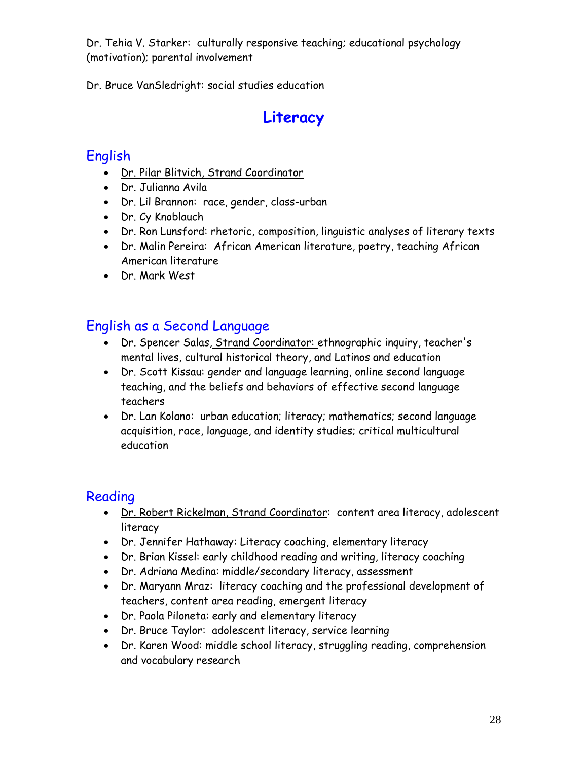Dr. Tehia V. Starker: culturally responsive teaching; educational psychology (motivation); parental involvement

Dr. Bruce VanSledright: social studies education

## **Literacy**

### English

- Dr. Pilar Blitvich, Strand Coordinator
- Dr. Julianna Avila
- Dr. Lil Brannon: race, gender, class-urban
- Dr. Cy Knoblauch
- Dr. Ron Lunsford: rhetoric, composition, linguistic analyses of literary texts
- Dr. Malin Pereira: African American literature, poetry, teaching African American literature
- Dr. Mark West

### English as a Second Language

- Dr. Spencer Salas, Strand Coordinator: ethnographic inquiry, teacher's mental lives, cultural historical theory, and Latinos and education
- Dr. Scott Kissau: gender and language learning, online second language teaching, and the beliefs and behaviors of effective second language teachers
- Dr. Lan Kolano: urban education; literacy; mathematics; second language acquisition, race, language, and identity studies; critical multicultural education

### Reading

- Dr. Robert Rickelman, Strand Coordinator: content area literacy, adolescent literacy
- Dr. Jennifer Hathaway: Literacy coaching, elementary literacy
- Dr. Brian Kissel: early childhood reading and writing, literacy coaching
- Dr. Adriana Medina: middle/secondary literacy, assessment
- Dr. Maryann Mraz: literacy coaching and the professional development of teachers, content area reading, emergent literacy
- Dr. Paola Piloneta: early and elementary literacy
- Dr. Bruce Taylor: adolescent literacy, service learning
- Dr. Karen Wood: middle school literacy, struggling reading, comprehension and vocabulary research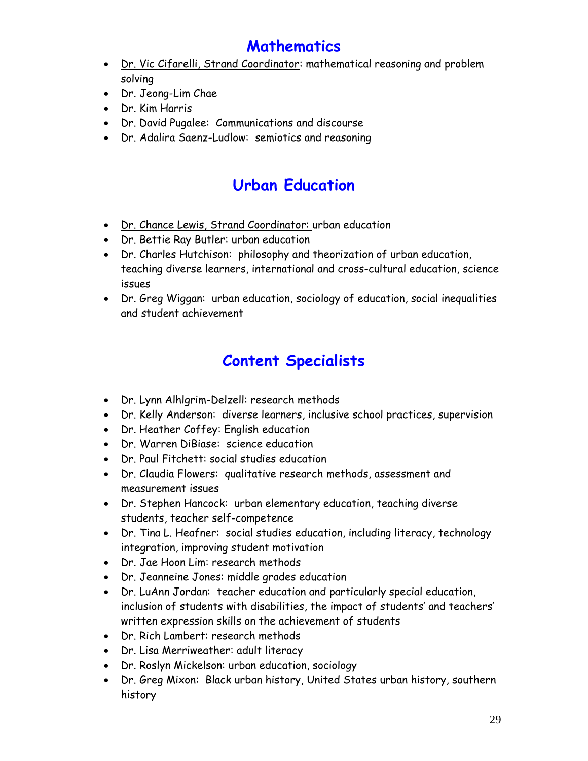## **Mathematics**

- Dr. Vic Cifarelli, Strand Coordinator: mathematical reasoning and problem solving
- Dr. Jeong-Lim Chae
- Dr. Kim Harris
- Dr. David Pugalee: Communications and discourse
- Dr. Adalira Saenz-Ludlow: semiotics and reasoning

## **Urban Education**

- Dr. Chance Lewis, Strand Coordinator: urban education
- Dr. Bettie Ray Butler: urban education
- Dr. Charles Hutchison: philosophy and theorization of urban education, teaching diverse learners, international and cross-cultural education, science issues
- Dr. Greg Wiggan: urban education, sociology of education, social inequalities and student achievement

## **Content Specialists**

- Dr. Lynn Alhlgrim-Delzell: research methods
- Dr. Kelly Anderson: diverse learners, inclusive school practices, supervision
- Dr. Heather Coffey: English education
- Dr. Warren DiBiase: science education
- Dr. Paul Fitchett: social studies education
- Dr. Claudia Flowers: qualitative research methods, assessment and measurement issues
- Dr. Stephen Hancock: urban elementary education, teaching diverse students, teacher self-competence
- Dr. Tina L. Heafner: social studies education, including literacy, technology integration, improving student motivation
- Dr. Jae Hoon Lim: research methods
- Dr. Jeanneine Jones: middle grades education
- Dr. LuAnn Jordan: teacher education and particularly special education, inclusion of students with disabilities, the impact of students' and teachers' written expression skills on the achievement of students
- Dr. Rich Lambert: research methods
- Dr. Lisa Merriweather: adult literacy
- Dr. Roslyn Mickelson: urban education, sociology
- Dr. Greg Mixon: Black urban history, United States urban history, southern history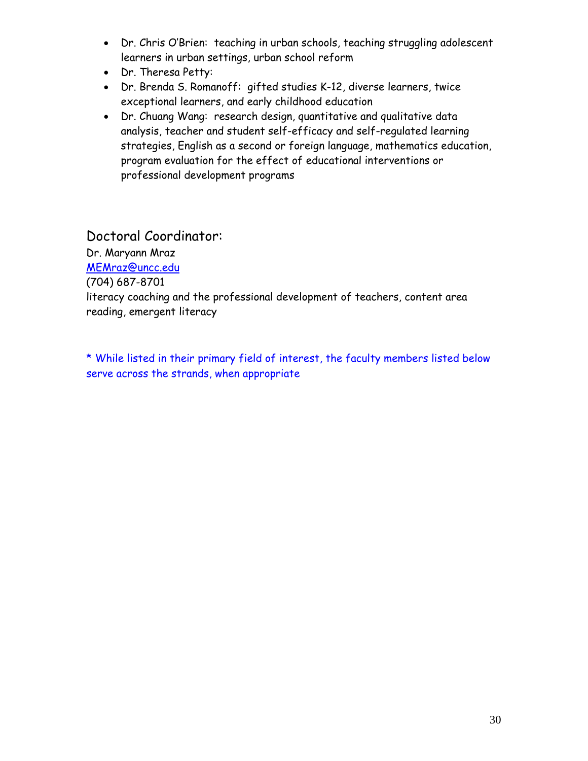- Dr. Chris O'Brien: teaching in urban schools, teaching struggling adolescent learners in urban settings, urban school reform
- Dr. Theresa Petty:
- Dr. Brenda S. Romanoff: gifted studies K-12, diverse learners, twice exceptional learners, and early childhood education
- Dr. Chuang Wang: research design, quantitative and qualitative data analysis, teacher and student self-efficacy and self-regulated learning strategies, English as a second or foreign language, mathematics education, program evaluation for the effect of educational interventions or professional development programs

#### Doctoral Coordinator:

Dr. Maryann Mraz

MEMraz@uncc.edu

(704) 687-8701

literacy coaching and the professional development of teachers, content area reading, emergent literacy

\* While listed in their primary field of interest, the faculty members listed below serve across the strands, when appropriate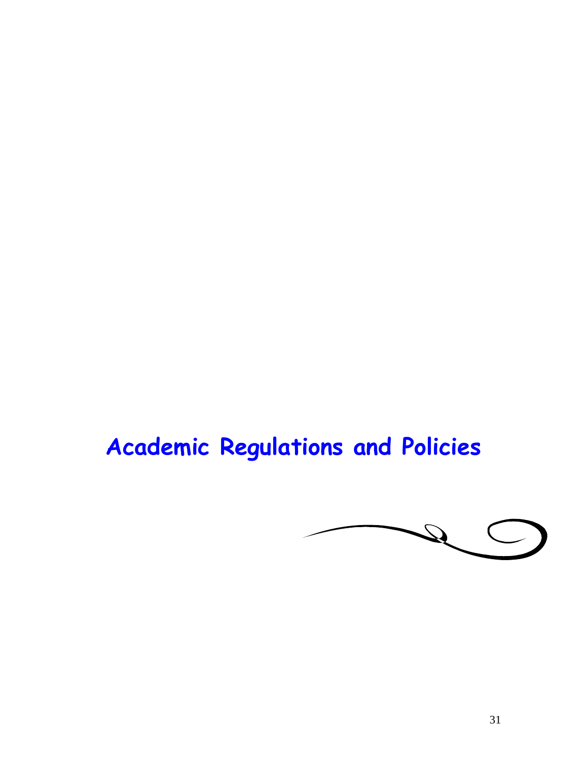# **Academic Regulations and Policies**

 $\mathcal{Q}$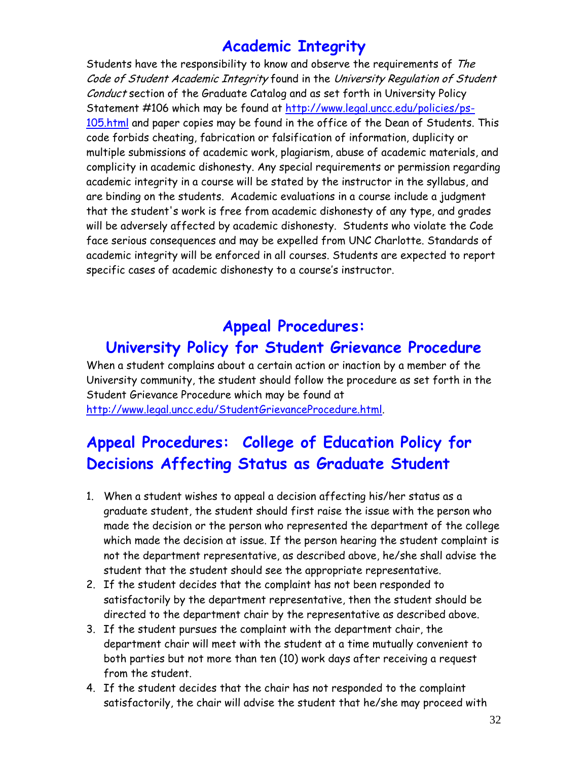### **Academic Integrity**

Students have the responsibility to know and observe the requirements of The Code of Student Academic Integrity found in the University Regulation of Student Conduct section of the Graduate Catalog and as set forth in University Policy Statement #106 which may be found at http://www.legal.uncc.edu/policies/ps-105.html and paper copies may be found in the office of the Dean of Students. This code forbids cheating, fabrication or falsification of information, duplicity or multiple submissions of academic work, plagiarism, abuse of academic materials, and complicity in academic dishonesty. Any special requirements or permission regarding academic integrity in a course will be stated by the instructor in the syllabus, and are binding on the students. Academic evaluations in a course include a judgment that the student's work is free from academic dishonesty of any type, and grades will be adversely affected by academic dishonesty. Students who violate the Code face serious consequences and may be expelled from UNC Charlotte. Standards of academic integrity will be enforced in all courses. Students are expected to report specific cases of academic dishonesty to a course's instructor.

### **Appeal Procedures:**

## **University Policy for Student Grievance Procedure**

When a student complains about a certain action or inaction by a member of the University community, the student should follow the procedure as set forth in the Student Grievance Procedure which may be found at http://www.legal.uncc.edu/StudentGrievanceProcedure.html.

## **Appeal Procedures: College of Education Policy for Decisions Affecting Status as Graduate Student**

- 1. When a student wishes to appeal a decision affecting his/her status as a graduate student, the student should first raise the issue with the person who made the decision or the person who represented the department of the college which made the decision at issue. If the person hearing the student complaint is not the department representative, as described above, he/she shall advise the student that the student should see the appropriate representative.
- 2. If the student decides that the complaint has not been responded to satisfactorily by the department representative, then the student should be directed to the department chair by the representative as described above.
- 3. If the student pursues the complaint with the department chair, the department chair will meet with the student at a time mutually convenient to both parties but not more than ten (10) work days after receiving a request from the student.
- 4. If the student decides that the chair has not responded to the complaint satisfactorily, the chair will advise the student that he/she may proceed with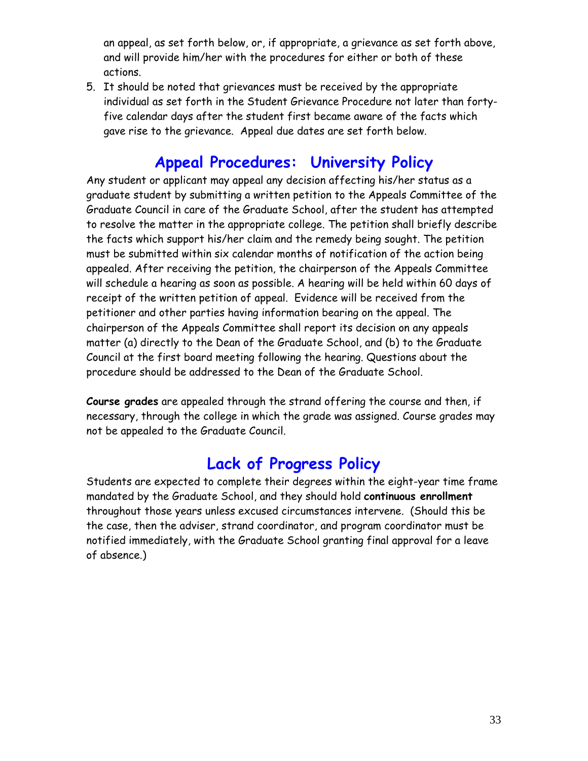an appeal, as set forth below, or, if appropriate, a grievance as set forth above, and will provide him/her with the procedures for either or both of these actions.

5. It should be noted that grievances must be received by the appropriate individual as set forth in the Student Grievance Procedure not later than fortyfive calendar days after the student first became aware of the facts which gave rise to the grievance. Appeal due dates are set forth below.

### **Appeal Procedures: University Policy**

Any student or applicant may appeal any decision affecting his/her status as a graduate student by submitting a written petition to the Appeals Committee of the Graduate Council in care of the Graduate School, after the student has attempted to resolve the matter in the appropriate college. The petition shall briefly describe the facts which support his/her claim and the remedy being sought. The petition must be submitted within six calendar months of notification of the action being appealed. After receiving the petition, the chairperson of the Appeals Committee will schedule a hearing as soon as possible. A hearing will be held within 60 days of receipt of the written petition of appeal. Evidence will be received from the petitioner and other parties having information bearing on the appeal. The chairperson of the Appeals Committee shall report its decision on any appeals matter (a) directly to the Dean of the Graduate School, and (b) to the Graduate Council at the first board meeting following the hearing. Questions about the procedure should be addressed to the Dean of the Graduate School.

**Course grades** are appealed through the strand offering the course and then, if necessary, through the college in which the grade was assigned. Course grades may not be appealed to the Graduate Council.

### **Lack of Progress Policy**

Students are expected to complete their degrees within the eight-year time frame mandated by the Graduate School, and they should hold **continuous enrollment**  throughout those years unless excused circumstances intervene. (Should this be the case, then the adviser, strand coordinator, and program coordinator must be notified immediately, with the Graduate School granting final approval for a leave of absence.)